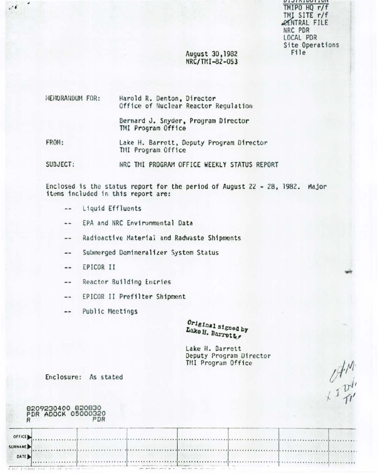**UIJINIDUIIUI** TMIPO HQ r/f TMI SITE r/f **RENTRAL FILE** NRC PDR LOCAL PDR Site Operations File

 $\begin{array}{c}\n\mathcal{A}^{\mathcal{M}}\\
\downarrow^{\mathcal{I}}\n\mathcal{P}^{\mathcal{I}}\n\end{array}$ 

. . . . . . . . . . . . . . . . . \*\*\*\*\*\*\*\*\*\*\*\*\*\*\*\*

# August 30,1982 NRC/TMI-82-053

#### HENORANDUM FOR: Harold R. Denton, Director Office of Nuclear Reactor Regulation

Bernard J. Snyder, Program Director TMI Program Office

FROM: Lake H. Barrett, Deputy Program Director TMI Program Office

SUBJECT: NRC TMI PROGRAM OFFICE WEEKLY STATUS REPORT

Enclosed is the status report for the period of August 22 - 28, 1982. Major items included in this report are:

- Liquid Effluents  $\ddotsc$
- EPA and NRC Environmental Data  $\ddotsc$
- Radioactive Material and Radwaste Shipments ..
- Submerged Demineralizer System Status  $-1$
- EPICOR II --

۰

 $\sim$  6

- Reactor Building Entries  $\frac{1}{2}$
- EPICOR II Prefilter Shipment  $\sim$   $\sim$
- Public Meetings  $\blacksquare$

Original signed by Lake H. Barretty

Lake H. Barrett Deputy Program Director TMI Program Office

Enclosure: As stated

|                | 8209230400 820830<br>PDR ADOCK 05000320 | PDR |  |  |  |
|----------------|-----------------------------------------|-----|--|--|--|
| OFFICE         |                                         |     |  |  |  |
| <b>SURNAME</b> |                                         |     |  |  |  |
| <b>DATE</b>    |                                         |     |  |  |  |
|                |                                         |     |  |  |  |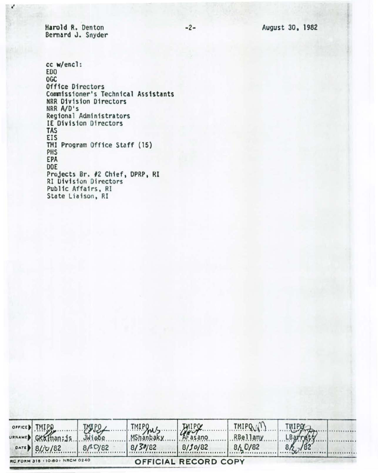Harold R. Denton Bernard J. Snyder

 $\mathbf{r}^t$ 

cc w/encl : EDO OGC Office Directors Commissioner's Technical Assistants HRR Division Directors NRR A/D's Regional Administrators IE Division Directors TAS EIS THI Program Office Staff (15) PHS EPA DOE Projects Br. #2 Chief, DPRP, RI RI Division Directors Public Affairs, Rl State Liaison, RI

| OFFICE   TMIPO                | <b>TAUPO</b> |         |                      | TMIPQ (1) | <b>TMIPQ</b>        |  |
|-------------------------------|--------------|---------|----------------------|-----------|---------------------|--|
| URNAMED GKalman; js.          | JWiebe       | mipgus. | Afasano              | RBellamy  |                     |  |
| DATE 8/ $j$ U/82              | 8/10/82      | 8/30/82 | 8/10/82              | 84 D/82   | $\frac{18arr}{182}$ |  |
| RC FORM 318 110-80) NRCM 0240 |              |         | OFFICIAL RECORD COPY |           |                     |  |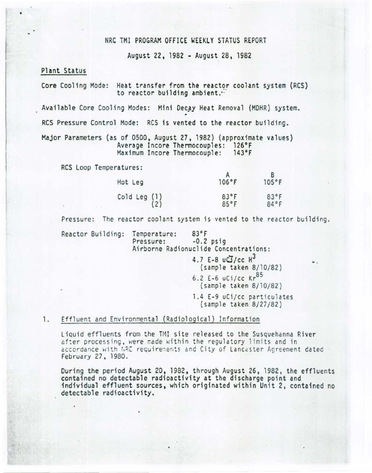## NRC TMI PROGRAM OFFICE WEEKLY STATUS REPORT

August 22, 1982 • August 28, 1982

## Plant Status

•

Core Cooling Mode: Heat transfer from the reactor coolant system (RCS) to reactor building ambient."

Available Core Cooling Modes: Mini Decay Heat Removal (MDHR) system.

RCS Pressure Control Mode: RCS is vented to the reactor building.

Major Parameters (as of 0500, August 27, 1982) (approximate values) Average Incore Thermocouples: 126°F<br>Maximum Incore Thermocouple: 143°F Maximum Incore Thermocouple:

RCS Loop Temperatures:

| Hot Leg                                         | 106°F                  | 105°F        |
|-------------------------------------------------|------------------------|--------------|
| Cold Leg $\begin{pmatrix} 1 \\ 2 \end{pmatrix}$ | $83^{\circ}$ F<br>85°F | 83°F<br>84°F |

Pressure: The reactor coolant system is vented to the reactor building.

Reactor Building: Temperature: 83°F<br>Pressure: -0.2 psiq Airborne Radionuclide Concentrations:

> 4.7 E-8  $u\ddot{d}/c c H^3$ (sample taken 8/10/82) 6.2 E-6  $uCi/cc$  Kr<sup>85</sup> (sample taken 8/10/82)

1.4 E-9 uCi/cc particulates (sample taken 8/27/82)

### 1. Effluent and Environmental (Radiological) Information

Liquid effluents from the TMI site released to the Susquehanna River after processing, were made within the regulatory limits and in accordance with NRC requirements and City of Lancaster Agreement dated February 27 . 1980 .

During the period August 20, 1982, through August 26, 1982, the effluents contained no detectable radioactivity at the discharge point and individual effluent sources, which originated within Unit 2, contained no detectable radioactivity.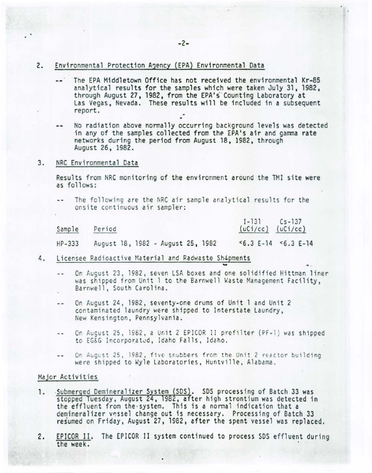- 2. Environmental Protection A3ency (EPA) Environmental Data
	- The EPA Middletown Office has not received the environmental Kr-85 analytical results for the samples which were taken July 31, 1982, through August 27, 1982, from the EPA's Counting Laboratory at Las Vegas, Nevada. These results will be included in a subsequent report.
	- No radiation above normally occurring background levels was detected in any of the samples collected from the EPA's air and gamma rate networks during the period from August 18, 1982, through August 26, 1982.
- 3. NRC Env ironmental Data

Results from NRC monitoring of the environment around the TMI site were as follows:

The following are the NRC air sample analytical results for the onsite continuous air sampler:

| Sample<br>Period |                                   |  |  |  | $1 - 131$ |  | $Cs - 137$<br>$(uCi/cc)$ $(uCi/cc)$ |  |  |                     |  |
|------------------|-----------------------------------|--|--|--|-----------|--|-------------------------------------|--|--|---------------------|--|
| $HP-333$         | August 18, 1982 - August 25, 1982 |  |  |  |           |  |                                     |  |  | $5.3 E-14 5.3 E-14$ |  |

- 4. Licensee Radioactive Material and Radwaste Shipments
	- On August 23, 1982, seven LSA boxes and one solidified Hittman liner  $-1$ was shipped from Unit 1 to the Barnwell Waste Management Facility, Barnwell, South Carolina.
	- On August 24, 1982, seventy-one drums of Unit 1 and Unit 2  $-$ contaminated laundry were shipped to Interstate Laundry, New Kensington , Pennsylvania.
	- On August 25 , 1962 , a Un it 2 EPICOR II prefilter (PF-1) was shipped  $-$ to EG&G Incorporated, Idaho Falls, Idaho.
	- On August 25, 1982, five snubbers from the Unit 2 reactor building  $\sim$   $\sim$ were shipped to Wyle Laboratories, Huntville, Alabama.

### Major Activities

- 1. Submerged Demineralizer System (SDS). SDS processing of Batch 33 was stopped Tuesday, August 24, 1982, after high strontium was detected in the effluent from the system. This is a normal indication that a demineralizer vessel change out is necessary. Processing of Batch 33 resumed on Friday, August 27, 1982, after the spent vessel was replaced.
- 2. EPICOR II. The EPICOR II system continued to process SDS effluent during the week.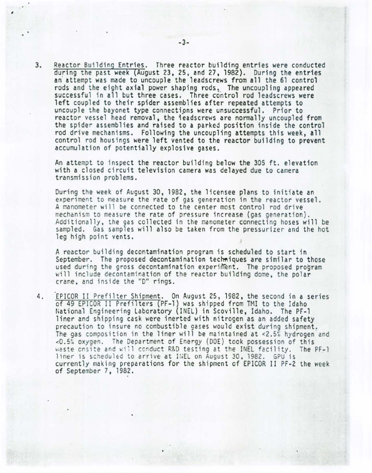3. Reactor Building Entries. Three reactor building entries were conducted during the past week (August 23, 25, and 27 , 1982). During the entries an attempt was made to uncouple the leadscrews from all the 61 control<br>rods and the eight axial power shaping rods. The uncoupling appeared successful in all but three cases. Three control rod leadscrews were left coupled to their spider assemblies after repeated attempts to uncouple the bayonet type connections were unsuccessful. Prior to reactor vessel head removal. the 1eadscrews are normally uncoupled from the spider assemblies and raised to a parked position inside the control rod drive mechanisms. Following the uncoupling attempts this week, all control rod housings were left vented to the reactor building to prevent accumulation of potentially explosive gases.

An attempt to inspect the reactor building below the 305 ft. elevation with a closed circuit television camera was delayed due to camera transmission problems.

During the week of August 30, 1982, the licensee plans to initiate an experiment to measure the rate of gas generation in the reactor vessel. A manometer will be connected to the center most control rod drive mechanism to measure the rate of pressure increase (gas generation).<br>Additionally, the gas collected in the manometer connecting hoses will be sampled. Gas samples will also be taken from the pressurizer and the hot leg high point vents.

A reactor building decontamination program is scheduled to start in September. The proposed decontamination techniques are similar to those used during the gross decontamination experiment. The proposed program will include decontamination of the reactor building dome, the polar crane, and inside the "D" rings.

4. EPICOR II Prefilter Shipment. On August 25, 1982, the second in a series of 49 EPICOR 11 Prefil ters (PF-1) was shipped from TMI to the Idaho National Engineering Laboratory (INEL) in Scoville, Idaho. The PF-1 liner and shipping cask were inerted with nitrogen as an added safety precaution to insure no combustible gases would exist during shipment. The gas composition in the liner will be maintained at  $\langle 2.5\%$  hydrogen and <0 5~ oxygen. The Department of Energy (DOE) took possession of this waste cnsite and will conduct R&D testing at the INEL facility. The PF-1 liner is scheduled to arrive at INEL on August 30, 1982. GPU is currently making preparations for the shipment of EPICOR II PF-2 the week of September 7. 1982.

,